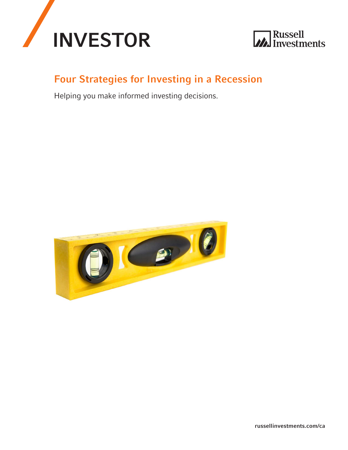



## Four Strategies for Investing in a Recession

Helping you make informed investing decisions.



[russellinvestments.com/ca](http://russellinvestments.com/ca)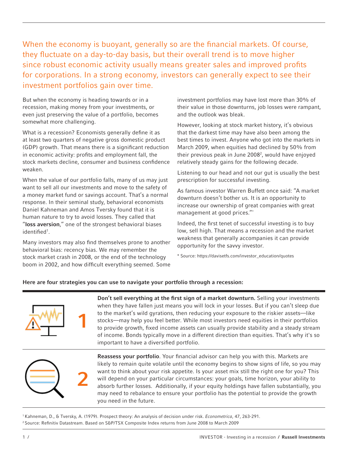When the economy is buoyant, generally so are the financial markets. Of course, they fluctuate on a day-to-day basis, but their overall trend is to move higher since robust economic activity usually means greater sales and improved profits for corporations. In a strong economy, investors can generally expect to see their investment portfolios gain over time.

But when the economy is heading towards or in a recession, making money from your investments, or even just preserving the value of a portfolio, becomes somewhat more challenging.

What is a recession? Economists generally define it as at least two quarters of negative gross domestic product (GDP) growth. That means there is a significant reduction in economic activity: profits and employment fall, the stock markets decline, consumer and business confidence weaken.

When the value of our portfolio falls, many of us may just want to sell all our investments and move to the safety of a money market fund or savings account. That's a normal response. In their seminal study, behavioral economists Daniel Kahneman and Amos Tversky found that it is human nature to try to avoid losses. They called that "loss aversion," one of the strongest behavioral biases identified1 .

Many investors may also find themselves prone to another behavioral bias: recency bias. We may remember the stock market crash in 2008, or the end of the technology boom in 2002, and how difficult everything seemed. Some

investment portfolios may have lost more than 30% of their value in those downturns, job losses were rampant, and the outlook was bleak.

However, looking at stock market history, it's obvious that the darkest time may have also been among the best times to invest. Anyone who got into the markets in March 2009, when equities had declined by 50% from their previous peak in June 2008<sup>2</sup>, would have enjoyed relatively steady gains for the following decade.

Listening to our head and not our gut is usually the best prescription for successful investing.

As famous investor Warren Buffett once said: "A market downturn doesn't bother us. It is an opportunity to increase our ownership of great companies with great management at good prices."\*

Indeed, the first tenet of successful investing is to buy low, sell high. That means a recession and the market weakness that generally accompanies it can provide opportunity for the savvy investor.

\* Source: https://davisetfs.com/investor\_education/quotes

## Here are four strategies you can use to navigate your portfolio through a recession:



Don't sell everything at the first sign of a market downturn. Selling your investments when they have fallen just means you will lock in your losses. But if you can't sleep due to the market's wild gyrations, then reducing your exposure to the riskier assets—like stocks—may help you feel better. While most investors need equities in their portfolios to provide growth, fixed income assets can usually provide stability and a steady stream of income. Bonds typically move in a different direction than equities. That's why it's so important to have a diversified portfolio.



Reassess your portfolio. Your financial advisor can help you with this. Markets are likely to remain quite volatile until the economy begins to show signs of life, so you may want to think about your risk appetite. Is your asset mix still the right one for you? This will depend on your particular circumstances: your goals, time horizon, your ability to absorb further losses. Additionally, if your equity holdings have fallen substantially, you may need to rebalance to ensure your portfolio has the potential to provide the growth you need in the future.

1 Kahneman, D., & Tversky, A. (1979). Prospect theory: An analysis of decision under risk. *Econometrica*, 47, 263-291. <sup>2</sup> Source: Refinitiv Datastream. Based on S&P/TSX Composite Index returns from June 2008 to March 2009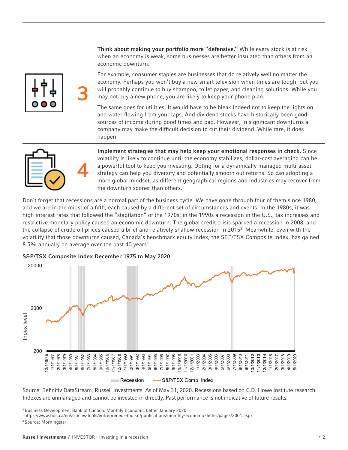Think about making your portfolio more "defensive." While every stock is at risk when an economy is weak, some businesses are better insulated than others from an economic downturn.

For example, consumer staples are businesses that do relatively well no matter the economy. Perhaps you won't buy a new smart television when times are tough, but you will probably continue to buy shampoo, toilet paper, and cleaning solutions. While you may not buy a new phone, you are likely to keep your phone plan.

The same goes for utilities. It would have to be bleak indeed not to keep the lights on and water flowing from your taps. And dividend stocks have historically been good sources of income during good times and bad. However, in significant downturns a company may make the difficult decision to cut their dividend. While rare, it does happen.



3

Implement strategies that may help keep your emotional responses in check. Since volatility is likely to continue until the economy stabilizes, dollar-cost averaging can be a powerful tool to keep you investing. Opting for a dynamically managed multi-asset strategy can help you diversify and potentially smooth out returns. So can adopting a more global mindset, as different geographical regions and industries may recover from the downturn sooner than others.

Don't forget that recessions are a normal part of the business cycle. We have gone through four of them since 1980, and we are in the midst of a fifth, each caused by a different set of circumstances and events. In the 1980s, it was high interest rates that followed the "stagflation" of the 1970s; in the 1990s a recession in the U.S., tax increases and restrictive monetary policy caused an economic downturn. The global credit crisis sparked a recession in 2008, and the collapse of crude oil prices caused a brief and relatively shallow recession in 20153 . Meanwhile, even with the volatility that those downturns caused, Canada's benchmark equity index, the S&P/TSX Composite Index, has gained 8.5% annually on average over the past 40 years<sup>4</sup>.



S&P/TSX Composite Index December 1975 to May 2020

Source: Refinitiv DataStream, Russell Investments. As of May 31, 2020. Recessions based on C.D. Howe Institute research. Indexes are unmanaged and cannot be invested in directly. Past performance is not indicative of future results.

<sup>3</sup> Business Development Bank of Canada. Monthly Economic Letter January 2020

https://www.bdc.ca/en/articles-tools/entrepreneur-toolkit/publications/monthly-economic-letter/pages/2001.aspx

<sup>4</sup> Source: Morningstar